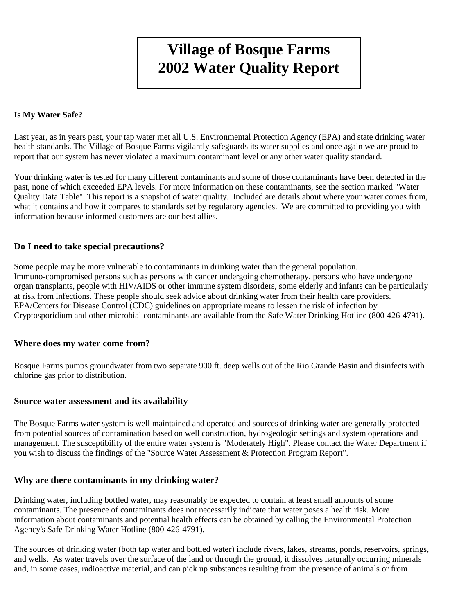# **Village of Bosque Farms 2002 Water Quality Report**

#### **Is My Water Safe?**

Last year, as in years past, your tap water met all U.S. Environmental Protection Agency (EPA) and state drinking water health standards. The Village of Bosque Farms vigilantly safeguards its water supplies and once again we are proud to report that our system has never violated a maximum contaminant level or any other water quality standard.

Your drinking water is tested for many different contaminants and some of those contaminants have been detected in the past, none of which exceeded EPA levels. For more information on these contaminants, see the section marked "Water Quality Data Table". This report is a snapshot of water quality. Included are details about where your water comes from, what it contains and how it compares to standards set by regulatory agencies. We are committed to providing you with information because informed customers are our best allies.

#### **Do I need to take special precautions?**

Some people may be more vulnerable to contaminants in drinking water than the general population. Immuno-compromised persons such as persons with cancer undergoing chemotherapy, persons who have undergone organ transplants, people with HIV/AIDS or other immune system disorders, some elderly and infants can be particularly at risk from infections. These people should seek advice about drinking water from their health care providers. EPA/Centers for Disease Control (CDC) guidelines on appropriate means to lessen the risk of infection by Cryptosporidium and other microbial contaminants are available from the Safe Water Drinking Hotline (800-426-4791).

#### **Where does my water come from?**

Bosque Farms pumps groundwater from two separate 900 ft. deep wells out of the Rio Grande Basin and disinfects with chlorine gas prior to distribution.

#### **Source water assessment and its availability**

The Bosque Farms water system is well maintained and operated and sources of drinking water are generally protected from potential sources of contamination based on well construction, hydrogeologic settings and system operations and management. The susceptibility of the entire water system is "Moderately High". Please contact the Water Department if you wish to discuss the findings of the "Source Water Assessment & Protection Program Report".

#### **Why are there contaminants in my drinking water?**

Drinking water, including bottled water, may reasonably be expected to contain at least small amounts of some contaminants. The presence of contaminants does not necessarily indicate that water poses a health risk. More information about contaminants and potential health effects can be obtained by calling the Environmental Protection Agency's Safe Drinking Water Hotline (800-426-4791).

The sources of drinking water (both tap water and bottled water) include rivers, lakes, streams, ponds, reservoirs, springs, and wells. As water travels over the surface of the land or through the ground, it dissolves naturally occurring minerals and, in some cases, radioactive material, and can pick up substances resulting from the presence of animals or from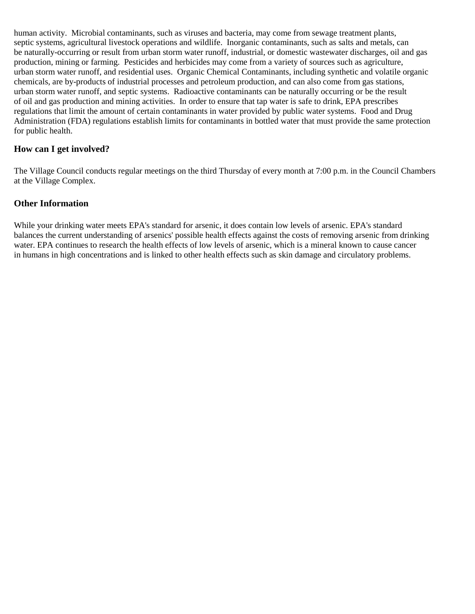human activity. Microbial contaminants, such as viruses and bacteria, may come from sewage treatment plants, septic systems, agricultural livestock operations and wildlife. Inorganic contaminants, such as salts and metals, can be naturally-occurring or result from urban storm water runoff, industrial, or domestic wastewater discharges, oil and gas production, mining or farming. Pesticides and herbicides may come from a variety of sources such as agriculture, urban storm water runoff, and residential uses. Organic Chemical Contaminants, including synthetic and volatile organic chemicals, are by-products of industrial processes and petroleum production, and can also come from gas stations, urban storm water runoff, and septic systems. Radioactive contaminants can be naturally occurring or be the result of oil and gas production and mining activities. In order to ensure that tap water is safe to drink, EPA prescribes regulations that limit the amount of certain contaminants in water provided by public water systems. Food and Drug Administration (FDA) regulations establish limits for contaminants in bottled water that must provide the same protection for public health.

### **How can I get involved?**

The Village Council conducts regular meetings on the third Thursday of every month at 7:00 p.m. in the Council Chambers at the Village Complex.

### **Other Information**

While your drinking water meets EPA's standard for arsenic, it does contain low levels of arsenic. EPA's standard balances the current understanding of arsenics' possible health effects against the costs of removing arsenic from drinking water. EPA continues to research the health effects of low levels of arsenic, which is a mineral known to cause cancer in humans in high concentrations and is linked to other health effects such as skin damage and circulatory problems.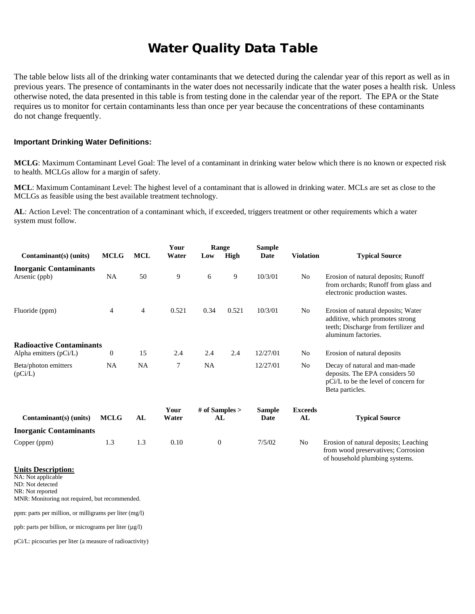## Water Quality Data Table

The table below lists all of the drinking water contaminants that we detected during the calendar year of this report as well as in previous years. The presence of contaminants in the water does not necessarily indicate that the water poses a health risk. Unless otherwise noted, the data presented in this table is from testing done in the calendar year of the report. The EPA or the State requires us to monitor for certain contaminants less than once per year because the concentrations of these contaminants do not change frequently.

#### **Important Drinking Water Definitions:**

**MCLG**: Maximum Contaminant Level Goal: The level of a contaminant in drinking water below which there is no known or expected risk to health. MCLGs allow for a margin of safety.

**MCL**: Maximum Contaminant Level: The highest level of a contaminant that is allowed in drinking water. MCLs are set as close to the MCLGs as feasible using the best available treatment technology.

**AL**: Action Level: The concentration of a contaminant which, if exceeded, triggers treatment or other requirements which a water system must follow.

| Contaminant(s) (units)                         | <b>MCLG</b>      | <b>MCL</b> | Your<br>Water | Range<br>High<br>Low   |       | <b>Sample</b><br>Date | <b>Violation</b>     | <b>Typical Source</b>                                                                                                                |
|------------------------------------------------|------------------|------------|---------------|------------------------|-------|-----------------------|----------------------|--------------------------------------------------------------------------------------------------------------------------------------|
|                                                |                  |            |               |                        |       |                       |                      |                                                                                                                                      |
| <b>Inorganic Contaminants</b><br>Arsenic (ppb) | NA               | 50         | 9             | 6                      | 9     | 10/3/01               | No                   | Erosion of natural deposits; Runoff<br>from orchards; Runoff from glass and<br>electronic production wastes.                         |
| Fluoride (ppm)                                 | $\overline{4}$   | 4          | 0.521         | 0.34                   | 0.521 | 10/3/01               | No                   | Erosion of natural deposits; Water<br>additive, which promotes strong<br>teeth; Discharge from fertilizer and<br>aluminum factories. |
| <b>Radioactive Contaminants</b>                |                  |            |               |                        |       |                       |                      |                                                                                                                                      |
| Alpha emitters $(pCi/L)$                       | $\boldsymbol{0}$ | 15         | 2.4           | 2.4                    | 2.4   | 12/27/01              | No                   | Erosion of natural deposits                                                                                                          |
| Beta/photon emitters<br>(pCi/L)                | NA               | <b>NA</b>  | 7             | <b>NA</b>              |       | 12/27/01              | No                   | Decay of natural and man-made<br>deposits. The EPA considers 50<br>pCi/L to be the level of concern for<br>Beta particles.           |
| Contaminant(s) (units)                         | <b>MCLG</b>      | AL         | Your<br>Water | # of Samples $>$<br>AL |       | <b>Sample</b><br>Date | <b>Exceeds</b><br>AL | <b>Typical Source</b>                                                                                                                |
| <b>Inorganic Contaminants</b>                  |                  |            |               |                        |       |                       |                      |                                                                                                                                      |
| Copper (ppm)                                   | 1.3              | 1.3        | 0.10          | $\theta$               |       | 7/5/02                | No                   | Erosion of natural deposits; Leaching<br>from wood preservatives; Corrosion<br>of household plumbing systems.                        |

#### **Units Description:**

NA: Not applicable ND: Not detected

NR: Not reported

MNR: Monitoring not required, but recommended.

ppm: parts per million, or milligrams per liter (mg/l)

ppb: parts per billion, or micrograms per liter (µg/l)

pCi/L: picocuries per liter (a measure of radioactivity)